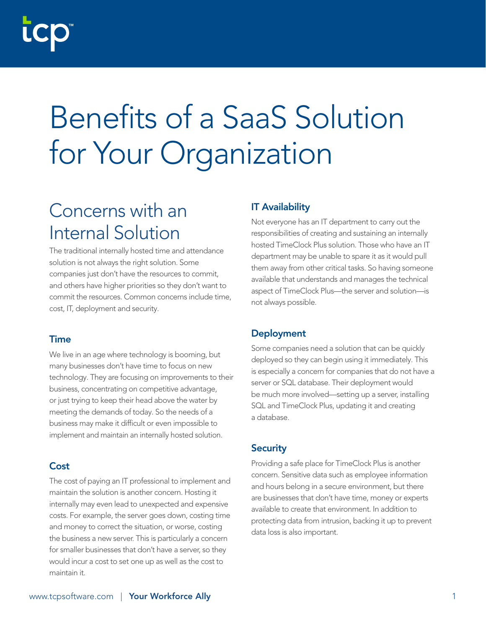# Benefits of a SaaS Solution for Your Organization

# Concerns with an Internal Solution

The traditional internally hosted time and attendance solution is not always the right solution. Some companies just don't have the resources to commit, and others have higher priorities so they don't want to commit the resources. Common concerns include time, cost, IT, deployment and security.

#### Time

We live in an age where technology is booming, but many businesses don't have time to focus on new technology. They are focusing on improvements to their business, concentrating on competitive advantage, or just trying to keep their head above the water by meeting the demands of today. So the needs of a business may make it difficult or even impossible to implement and maintain an internally hosted solution.

### **Cost**

The cost of paying an IT professional to implement and maintain the solution is another concern. Hosting it internally may even lead to unexpected and expensive costs. For example, the server goes down, costing time and money to correct the situation, or worse, costing the business a new server. This is particularly a concern for smaller businesses that don't have a server, so they would incur a cost to set one up as well as the cost to maintain it.

## IT Availability

Not everyone has an IT department to carry out the responsibilities of creating and sustaining an internally hosted TimeClock Plus solution. Those who have an IT department may be unable to spare it as it would pull them away from other critical tasks. So having someone available that understands and manages the technical aspect of TimeClock Plus—the server and solution—is not always possible.

## Deployment

Some companies need a solution that can be quickly deployed so they can begin using it immediately. This is especially a concern for companies that do not have a server or SQL database. Their deployment would be much more involved—setting up a server, installing SQL and TimeClock Plus, updating it and creating a database.

#### **Security**

Providing a safe place for TimeClock Plus is another concern. Sensitive data such as employee information and hours belong in a secure environment, but there are businesses that don't have time, money or experts available to create that environment. In addition to protecting data from intrusion, backing it up to prevent data loss is also important.